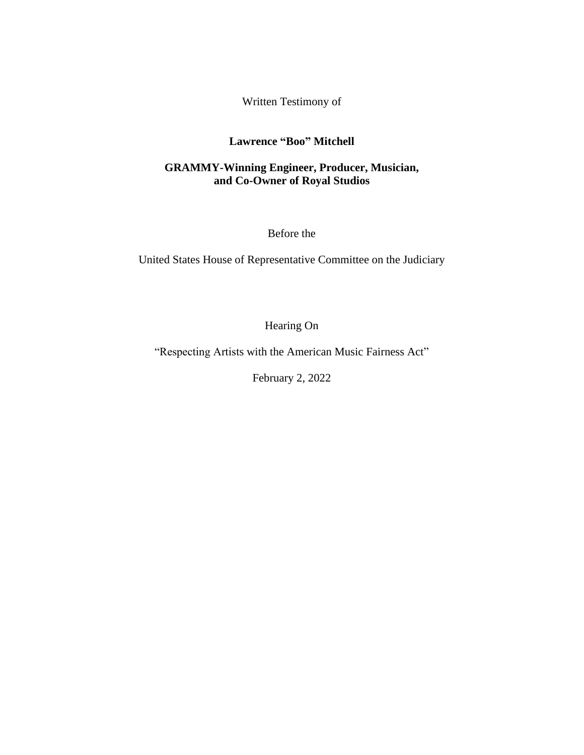Written Testimony of

## **Lawrence "Boo" Mitchell**

## **GRAMMY-Winning Engineer, Producer, Musician, and Co-Owner of Royal Studios**

Before the

United States House of Representative Committee on the Judiciary

Hearing On

"Respecting Artists with the American Music Fairness Act"

February 2, 2022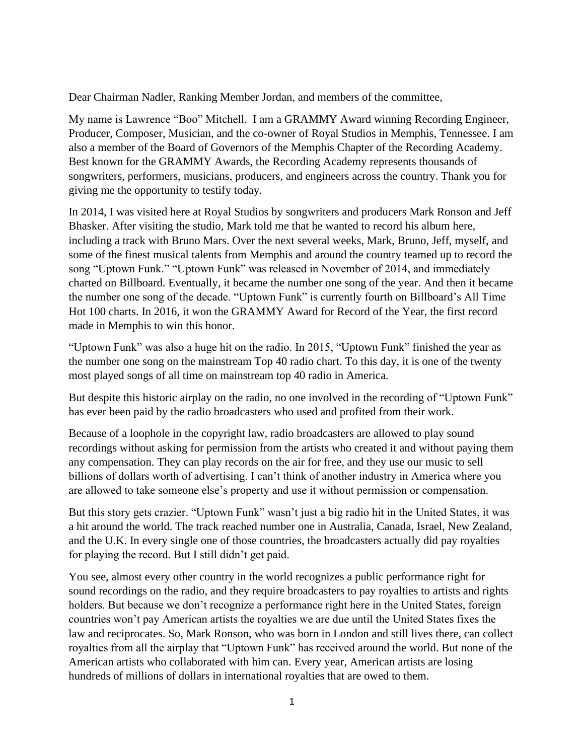Dear Chairman Nadler, Ranking Member Jordan, and members of the committee,

My name is Lawrence "Boo" Mitchell. I am a GRAMMY Award winning Recording Engineer, Producer, Composer, Musician, and the co-owner of Royal Studios in Memphis, Tennessee. I am also a member of the Board of Governors of the Memphis Chapter of the Recording Academy. Best known for the GRAMMY Awards, the Recording Academy represents thousands of songwriters, performers, musicians, producers, and engineers across the country. Thank you for giving me the opportunity to testify today.

In 2014, I was visited here at Royal Studios by songwriters and producers Mark Ronson and Jeff Bhasker. After visiting the studio, Mark told me that he wanted to record his album here, including a track with Bruno Mars. Over the next several weeks, Mark, Bruno, Jeff, myself, and some of the finest musical talents from Memphis and around the country teamed up to record the song "Uptown Funk." "Uptown Funk" was released in November of 2014, and immediately charted on Billboard. Eventually, it became the number one song of the year. And then it became the number one song of the decade. "Uptown Funk" is currently fourth on Billboard's All Time Hot 100 charts. In 2016, it won the GRAMMY Award for Record of the Year, the first record made in Memphis to win this honor.

"Uptown Funk" was also a huge hit on the radio. In 2015, "Uptown Funk" finished the year as the number one song on the mainstream Top 40 radio chart. To this day, it is one of the twenty most played songs of all time on mainstream top 40 radio in America.

But despite this historic airplay on the radio, no one involved in the recording of "Uptown Funk" has ever been paid by the radio broadcasters who used and profited from their work.

Because of a loophole in the copyright law, radio broadcasters are allowed to play sound recordings without asking for permission from the artists who created it and without paying them any compensation. They can play records on the air for free, and they use our music to sell billions of dollars worth of advertising. I can't think of another industry in America where you are allowed to take someone else's property and use it without permission or compensation.

But this story gets crazier. "Uptown Funk" wasn't just a big radio hit in the United States, it was a hit around the world. The track reached number one in Australia, Canada, Israel, New Zealand, and the U.K. In every single one of those countries, the broadcasters actually did pay royalties for playing the record. But I still didn't get paid.

You see, almost every other country in the world recognizes a public performance right for sound recordings on the radio, and they require broadcasters to pay royalties to artists and rights holders. But because we don't recognize a performance right here in the United States, foreign countries won't pay American artists the royalties we are due until the United States fixes the law and reciprocates. So, Mark Ronson, who was born in London and still lives there, can collect royalties from all the airplay that "Uptown Funk" has received around the world. But none of the American artists who collaborated with him can. Every year, American artists are losing hundreds of millions of dollars in international royalties that are owed to them.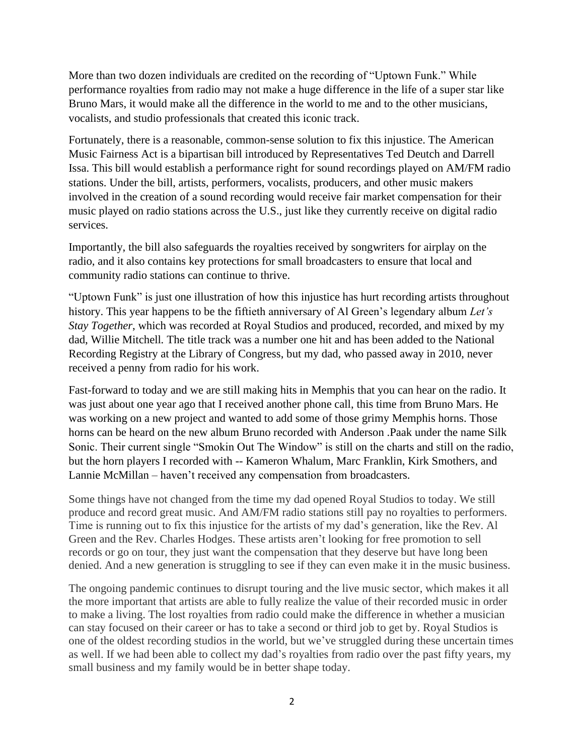More than two dozen individuals are credited on the recording of "Uptown Funk." While performance royalties from radio may not make a huge difference in the life of a super star like Bruno Mars, it would make all the difference in the world to me and to the other musicians, vocalists, and studio professionals that created this iconic track.

Fortunately, there is a reasonable, common-sense solution to fix this injustice. The American Music Fairness Act is a bipartisan bill introduced by Representatives Ted Deutch and Darrell Issa. This bill would establish a performance right for sound recordings played on AM/FM radio stations. Under the bill, artists, performers, vocalists, producers, and other music makers involved in the creation of a sound recording would receive fair market compensation for their music played on radio stations across the U.S., just like they currently receive on digital radio services.

Importantly, the bill also safeguards the royalties received by songwriters for airplay on the radio, and it also contains key protections for small broadcasters to ensure that local and community radio stations can continue to thrive.

"Uptown Funk" is just one illustration of how this injustice has hurt recording artists throughout history. This year happens to be the fiftieth anniversary of Al Green's legendary album *Let's Stay Together*, which was recorded at Royal Studios and produced, recorded, and mixed by my dad, Willie Mitchell*.* The title track was a number one hit and has been added to the National Recording Registry at the Library of Congress, but my dad, who passed away in 2010, never received a penny from radio for his work.

Fast-forward to today and we are still making hits in Memphis that you can hear on the radio. It was just about one year ago that I received another phone call, this time from Bruno Mars. He was working on a new project and wanted to add some of those grimy Memphis horns. Those horns can be heard on the new album Bruno recorded with Anderson .Paak under the name Silk Sonic. Their current single "Smokin Out The Window" is still on the charts and still on the radio, but the horn players I recorded with -- Kameron Whalum, Marc Franklin, Kirk Smothers, and Lannie McMillan – haven't received any compensation from broadcasters.

Some things have not changed from the time my dad opened Royal Studios to today. We still produce and record great music. And AM/FM radio stations still pay no royalties to performers. Time is running out to fix this injustice for the artists of my dad's generation, like the Rev. Al Green and the Rev. Charles Hodges. These artists aren't looking for free promotion to sell records or go on tour, they just want the compensation that they deserve but have long been denied. And a new generation is struggling to see if they can even make it in the music business.

The ongoing pandemic continues to disrupt touring and the live music sector, which makes it all the more important that artists are able to fully realize the value of their recorded music in order to make a living. The lost royalties from radio could make the difference in whether a musician can stay focused on their career or has to take a second or third job to get by. Royal Studios is one of the oldest recording studios in the world, but we've struggled during these uncertain times as well. If we had been able to collect my dad's royalties from radio over the past fifty years, my small business and my family would be in better shape today.